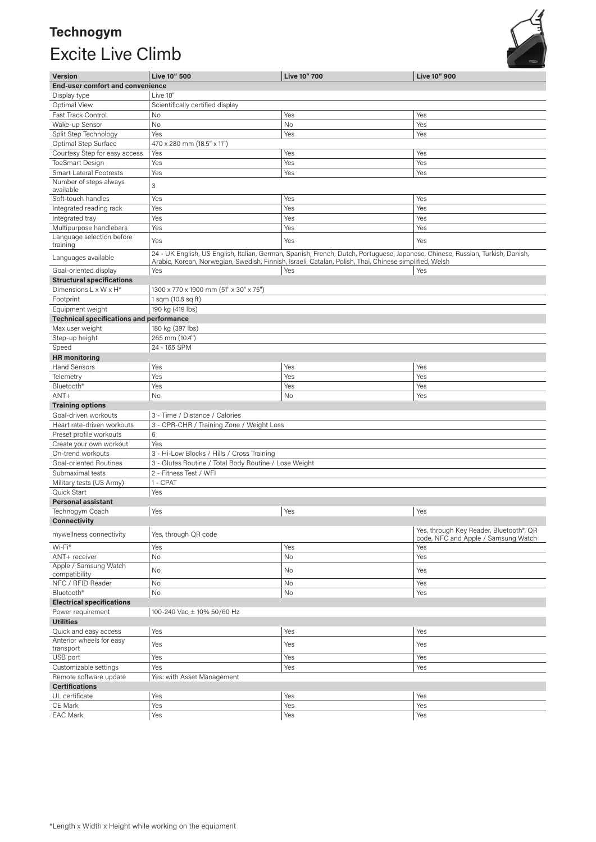## **Technogym**  Excite Live Climb



| <b>Version</b>                                    | Live 10" 500                                                                 | <b>Live 10" 700</b>                                                                                                            | <b>Live 10" 900</b>                 |  |
|---------------------------------------------------|------------------------------------------------------------------------------|--------------------------------------------------------------------------------------------------------------------------------|-------------------------------------|--|
| <b>End-user comfort and convenience</b>           |                                                                              |                                                                                                                                |                                     |  |
| Display type                                      | Live 10"                                                                     |                                                                                                                                |                                     |  |
| Optimal View                                      | Scientifically certified display                                             |                                                                                                                                |                                     |  |
| Fast Track Control                                | <b>No</b>                                                                    | Yes                                                                                                                            | Yes                                 |  |
| Wake-up Sensor                                    | No                                                                           | No                                                                                                                             | Yes                                 |  |
| Split Step Technology                             | Yes                                                                          | Yes                                                                                                                            | Yes                                 |  |
| Optimal Step Surface                              | 470 x 280 mm (18.5" x 11")                                                   |                                                                                                                                |                                     |  |
| Courtesy Step for easy access                     | Yes                                                                          | Yes                                                                                                                            | Yes                                 |  |
| <b>ToeSmart Design</b>                            | Yes                                                                          | Yes                                                                                                                            | Yes                                 |  |
| <b>Smart Lateral Footrests</b>                    | Yes                                                                          | Yes                                                                                                                            | Yes                                 |  |
| Number of steps always                            |                                                                              |                                                                                                                                |                                     |  |
| available                                         | 3                                                                            |                                                                                                                                |                                     |  |
| Soft-touch handles                                | Yes                                                                          | Yes                                                                                                                            | Yes                                 |  |
| Integrated reading rack                           | Yes                                                                          | Yes                                                                                                                            | Yes                                 |  |
| Integrated tray                                   | Yes                                                                          | Yes                                                                                                                            | Yes                                 |  |
| Multipurpose handlebars                           | Yes                                                                          | Yes                                                                                                                            | Yes                                 |  |
| Language selection before                         | Yes                                                                          | Yes                                                                                                                            | Yes                                 |  |
| training                                          |                                                                              |                                                                                                                                |                                     |  |
| Languages available                               |                                                                              | 24 - UK English, US English, Italian, German, Spanish, French, Dutch, Portuguese, Japanese, Chinese, Russian, Turkish, Danish, |                                     |  |
|                                                   |                                                                              | Arabic, Korean, Norwegian, Swedish, Finnish, Israeli, Catalan, Polish, Thai, Chinese simplified, Welsh                         |                                     |  |
| Goal-oriented display                             | Yes                                                                          | Yes                                                                                                                            | Yes                                 |  |
| <b>Structural specifications</b>                  |                                                                              |                                                                                                                                |                                     |  |
| Dimensions L x W x H*                             | 1300 x 770 x 1900 mm (51" x 30" x 75")                                       |                                                                                                                                |                                     |  |
| Footprint                                         | 1 sqm (10.8 sq ft)                                                           |                                                                                                                                |                                     |  |
| Equipment weight                                  | 190 kg (419 lbs)                                                             |                                                                                                                                |                                     |  |
| <b>Technical specifications and performance</b>   |                                                                              |                                                                                                                                |                                     |  |
| Max user weight                                   | 180 kg (397 lbs)                                                             |                                                                                                                                |                                     |  |
| Step-up height                                    | 265 mm (10.4")                                                               |                                                                                                                                |                                     |  |
| Speed                                             | 24 - 165 SPM                                                                 |                                                                                                                                |                                     |  |
| <b>HR</b> monitoring                              |                                                                              |                                                                                                                                |                                     |  |
| <b>Hand Sensors</b>                               | Yes                                                                          | Yes                                                                                                                            | Yes                                 |  |
| Telemetry                                         | Yes                                                                          | Yes                                                                                                                            | Yes                                 |  |
| Bluetooth <sup>®</sup>                            | Yes                                                                          | Yes                                                                                                                            | Yes                                 |  |
| $ANT+$                                            | No                                                                           | No                                                                                                                             | Yes                                 |  |
| <b>Training options</b>                           |                                                                              |                                                                                                                                |                                     |  |
| Goal-driven workouts                              | 3 - Time / Distance / Calories                                               |                                                                                                                                |                                     |  |
| Heart rate-driven workouts                        | 3 - CPR-CHR / Training Zone / Weight Loss                                    |                                                                                                                                |                                     |  |
| Preset profile workouts                           | 6                                                                            |                                                                                                                                |                                     |  |
| Create your own workout                           | Yes                                                                          |                                                                                                                                |                                     |  |
| On-trend workouts                                 | 3 - Hi-Low Blocks / Hills / Cross Training                                   |                                                                                                                                |                                     |  |
| Goal-oriented Routines                            | 3 - Glutes Routine / Total Body Routine / Lose Weight                        |                                                                                                                                |                                     |  |
| Submaximal tests                                  | 2 - Fitness Test / WFI                                                       |                                                                                                                                |                                     |  |
| Military tests (US Army)                          | 1 - CPAT                                                                     |                                                                                                                                |                                     |  |
| Quick Start                                       | Yes                                                                          |                                                                                                                                |                                     |  |
| <b>Personal assistant</b>                         |                                                                              |                                                                                                                                |                                     |  |
| Technogym Coach                                   | Yes                                                                          | Yes                                                                                                                            | Yes                                 |  |
| <b>Connectivity</b>                               |                                                                              |                                                                                                                                |                                     |  |
| mywellness connectivity                           | Yes, through Key Reader, Bluetooth <sup>®</sup> , QR<br>Yes, through QR code |                                                                                                                                |                                     |  |
|                                                   |                                                                              |                                                                                                                                | code, NFC and Apple / Samsung Watch |  |
| Wi-Fi®                                            | Yes                                                                          | Yes                                                                                                                            | Yes                                 |  |
| ANT+ receiver                                     | No                                                                           | No                                                                                                                             | Yes                                 |  |
| Apple / Samsung Watch                             | No                                                                           | No                                                                                                                             | Yes                                 |  |
| compatibility<br>NFC / RFID Reader                | No                                                                           | No                                                                                                                             | Yes                                 |  |
| Bluetooth <sup>®</sup>                            | No                                                                           | No                                                                                                                             | Yes                                 |  |
| <b>Electrical specifications</b>                  |                                                                              |                                                                                                                                |                                     |  |
| Power requirement                                 | 100-240 Vac ± 10% 50/60 Hz                                                   |                                                                                                                                |                                     |  |
| <b>Utilities</b>                                  |                                                                              |                                                                                                                                |                                     |  |
|                                                   | Yes                                                                          | Yes                                                                                                                            | Yes                                 |  |
| Quick and easy access<br>Anterior wheels for easy |                                                                              |                                                                                                                                |                                     |  |
| transport                                         | Yes                                                                          | Yes                                                                                                                            | Yes                                 |  |
| USB port                                          | Yes                                                                          | Yes                                                                                                                            | Yes                                 |  |
| Customizable settings                             | Yes                                                                          | Yes                                                                                                                            | Yes                                 |  |
| Remote software update                            | Yes: with Asset Management                                                   |                                                                                                                                |                                     |  |
| <b>Certifications</b>                             |                                                                              |                                                                                                                                |                                     |  |
| UL certificate                                    | Yes                                                                          | Yes                                                                                                                            | Yes                                 |  |
| CE Mark                                           | Yes                                                                          | Yes                                                                                                                            | Yes                                 |  |
| <b>EAC Mark</b>                                   | Yes                                                                          | Yes                                                                                                                            | Yes                                 |  |
|                                                   |                                                                              |                                                                                                                                |                                     |  |